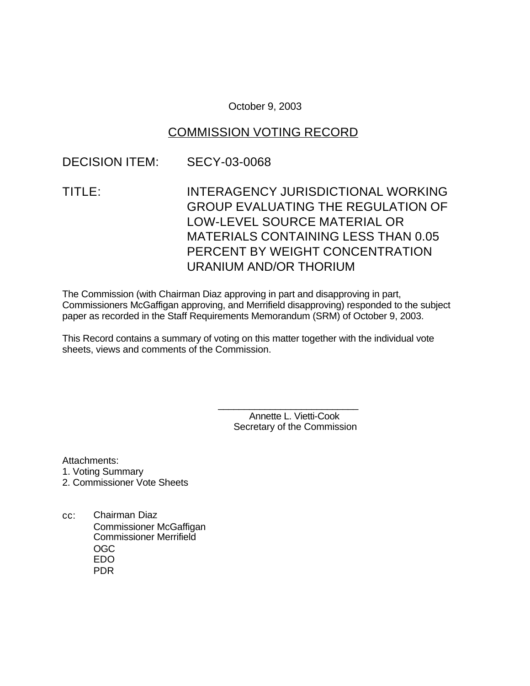October 9, 2003

# COMMISSION VOTING RECORD

## DECISION ITEM: SECY-03-0068

TITLE: INTERAGENCY JURISDICTIONAL WORKING GROUP EVALUATING THE REGULATION OF LOW-LEVEL SOURCE MATERIAL OR MATERIALS CONTAINING LESS THAN 0.05 PERCENT BY WEIGHT CONCENTRATION URANIUM AND/OR THORIUM

The Commission (with Chairman Diaz approving in part and disapproving in part, Commissioners McGaffigan approving, and Merrifield disapproving) responded to the subject paper as recorded in the Staff Requirements Memorandum (SRM) of October 9, 2003.

This Record contains a summary of voting on this matter together with the individual vote sheets, views and comments of the Commission.

> Annette L. Vietti-Cook Secretary of the Commission

\_\_\_\_\_\_\_\_\_\_\_\_\_\_\_\_\_\_\_\_\_\_\_\_\_\_\_

Attachments:

- 1. Voting Summary
- 2. Commissioner Vote Sheets
- cc: Chairman Diaz Commissioner McGaffigan Commissioner Merrifield OGC EDO PDR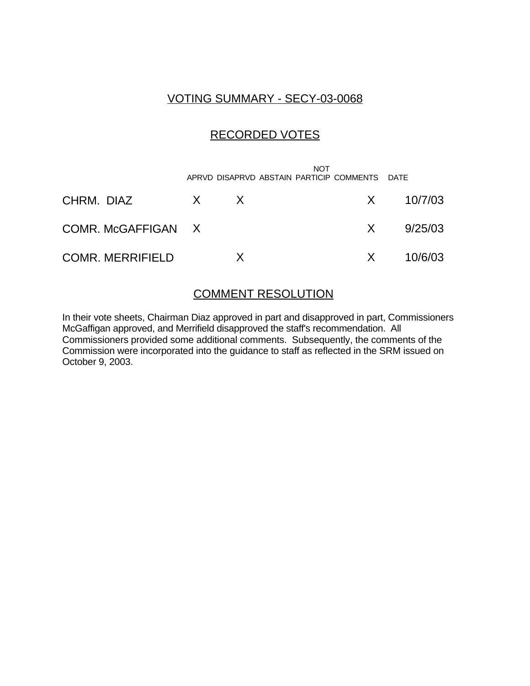# VOTING SUMMARY - SECY-03-0068

# RECORDED VOTES

|                         |              | <b>NOT</b><br>APRVD DISAPRVD ABSTAIN PARTICIP COMMENTS DATE |               |
|-------------------------|--------------|-------------------------------------------------------------|---------------|
| CHRM. DIAZ              | $X \times X$ |                                                             | $X = 10/7/03$ |
| COMR. McGAFFIGAN X      |              | X                                                           | 9/25/03       |
| <b>COMR. MERRIFIELD</b> |              | X.                                                          | 10/6/03       |

## COMMENT RESOLUTION

In their vote sheets, Chairman Diaz approved in part and disapproved in part, Commissioners McGaffigan approved, and Merrifield disapproved the staff's recommendation. All Commissioners provided some additional comments. Subsequently, the comments of the Commission were incorporated into the guidance to staff as reflected in the SRM issued on October 9, 2003.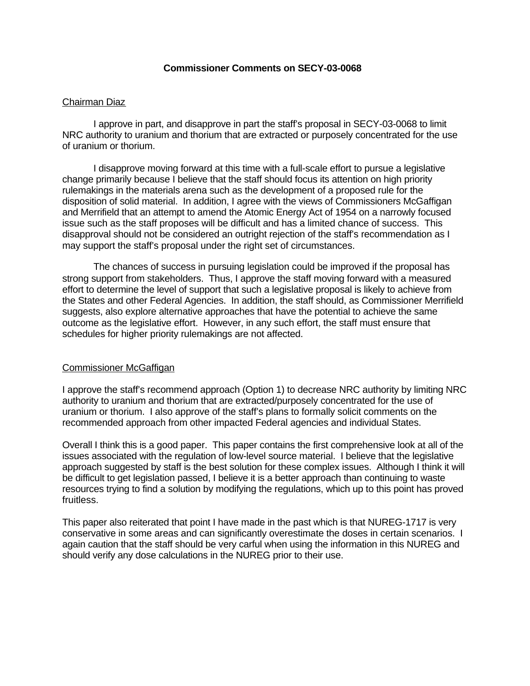## **Commissioner Comments on SECY-03-0068**

#### Chairman Diaz

I approve in part, and disapprove in part the staff's proposal in SECY-03-0068 to limit NRC authority to uranium and thorium that are extracted or purposely concentrated for the use of uranium or thorium.

I disapprove moving forward at this time with a full-scale effort to pursue a legislative change primarily because I believe that the staff should focus its attention on high priority rulemakings in the materials arena such as the development of a proposed rule for the disposition of solid material. In addition, I agree with the views of Commissioners McGaffigan and Merrifield that an attempt to amend the Atomic Energy Act of 1954 on a narrowly focused issue such as the staff proposes will be difficult and has a limited chance of success. This disapproval should not be considered an outright rejection of the staff's recommendation as I may support the staff's proposal under the right set of circumstances.

The chances of success in pursuing legislation could be improved if the proposal has strong support from stakeholders. Thus, I approve the staff moving forward with a measured effort to determine the level of support that such a legislative proposal is likely to achieve from the States and other Federal Agencies. In addition, the staff should, as Commissioner Merrifield suggests, also explore alternative approaches that have the potential to achieve the same outcome as the legislative effort. However, in any such effort, the staff must ensure that schedules for higher priority rulemakings are not affected.

#### Commissioner McGaffigan

I approve the staff's recommend approach (Option 1) to decrease NRC authority by limiting NRC authority to uranium and thorium that are extracted/purposely concentrated for the use of uranium or thorium. I also approve of the staff's plans to formally solicit comments on the recommended approach from other impacted Federal agencies and individual States.

Overall I think this is a good paper. This paper contains the first comprehensive look at all of the issues associated with the regulation of low-level source material. I believe that the legislative approach suggested by staff is the best solution for these complex issues. Although I think it will be difficult to get legislation passed, I believe it is a better approach than continuing to waste resources trying to find a solution by modifying the regulations, which up to this point has proved fruitless.

This paper also reiterated that point I have made in the past which is that NUREG-1717 is very conservative in some areas and can significantly overestimate the doses in certain scenarios. I again caution that the staff should be very carful when using the information in this NUREG and should verify any dose calculations in the NUREG prior to their use.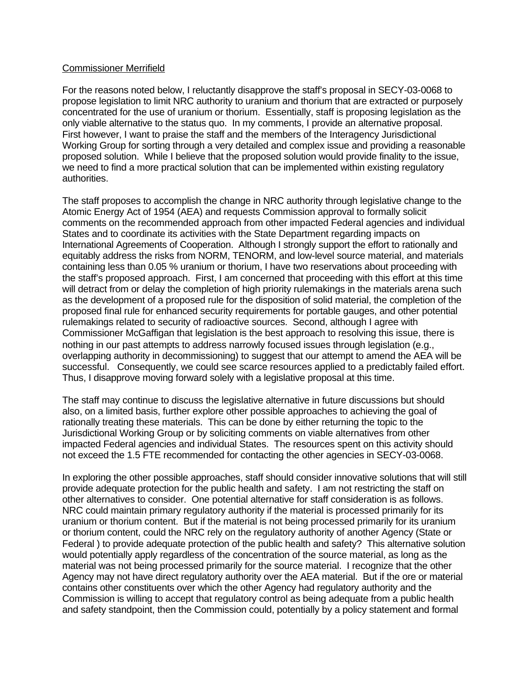## Commissioner Merrifield

For the reasons noted below, I reluctantly disapprove the staff's proposal in SECY-03-0068 to propose legislation to limit NRC authority to uranium and thorium that are extracted or purposely concentrated for the use of uranium or thorium. Essentially, staff is proposing legislation as the only viable alternative to the status quo. In my comments, I provide an alternative proposal. First however, I want to praise the staff and the members of the Interagency Jurisdictional Working Group for sorting through a very detailed and complex issue and providing a reasonable proposed solution. While I believe that the proposed solution would provide finality to the issue, we need to find a more practical solution that can be implemented within existing regulatory authorities.

The staff proposes to accomplish the change in NRC authority through legislative change to the Atomic Energy Act of 1954 (AEA) and requests Commission approval to formally solicit comments on the recommended approach from other impacted Federal agencies and individual States and to coordinate its activities with the State Department regarding impacts on International Agreements of Cooperation. Although I strongly support the effort to rationally and equitably address the risks from NORM, TENORM, and low-level source material, and materials containing less than 0.05 % uranium or thorium, I have two reservations about proceeding with the staff's proposed approach. First, I am concerned that proceeding with this effort at this time will detract from or delay the completion of high priority rulemakings in the materials arena such as the development of a proposed rule for the disposition of solid material, the completion of the proposed final rule for enhanced security requirements for portable gauges, and other potential rulemakings related to security of radioactive sources. Second, although I agree with Commissioner McGaffigan that legislation is the best approach to resolving this issue, there is nothing in our past attempts to address narrowly focused issues through legislation (e.g., overlapping authority in decommissioning) to suggest that our attempt to amend the AEA will be successful. Consequently, we could see scarce resources applied to a predictably failed effort. Thus, I disapprove moving forward solely with a legislative proposal at this time.

The staff may continue to discuss the legislative alternative in future discussions but should also, on a limited basis, further explore other possible approaches to achieving the goal of rationally treating these materials. This can be done by either returning the topic to the Jurisdictional Working Group or by soliciting comments on viable alternatives from other impacted Federal agencies and individual States. The resources spent on this activity should not exceed the 1.5 FTE recommended for contacting the other agencies in SECY-03-0068.

In exploring the other possible approaches, staff should consider innovative solutions that will still provide adequate protection for the public health and safety. I am not restricting the staff on other alternatives to consider. One potential alternative for staff consideration is as follows. NRC could maintain primary regulatory authority if the material is processed primarily for its uranium or thorium content. But if the material is not being processed primarily for its uranium or thorium content, could the NRC rely on the regulatory authority of another Agency (State or Federal ) to provide adequate protection of the public health and safety? This alternative solution would potentially apply regardless of the concentration of the source material, as long as the material was not being processed primarily for the source material. I recognize that the other Agency may not have direct regulatory authority over the AEA material. But if the ore or material contains other constituents over which the other Agency had regulatory authority and the Commission is willing to accept that regulatory control as being adequate from a public health and safety standpoint, then the Commission could, potentially by a policy statement and formal